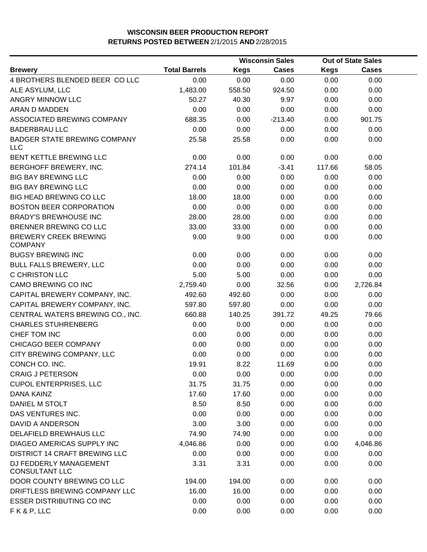|                                                   |                      |             | <b>Wisconsin Sales</b> | <b>Out of State Sales</b> |              |  |
|---------------------------------------------------|----------------------|-------------|------------------------|---------------------------|--------------|--|
| <b>Brewery</b>                                    | <b>Total Barrels</b> | <b>Kegs</b> | <b>Cases</b>           | <b>Kegs</b>               | <b>Cases</b> |  |
| 4 BROTHERS BLENDED BEER COLLC                     | 0.00                 | 0.00        | 0.00                   | 0.00                      | 0.00         |  |
| ALE ASYLUM, LLC                                   | 1,483.00             | 558.50      | 924.50                 | 0.00                      | 0.00         |  |
| ANGRY MINNOW LLC                                  | 50.27                | 40.30       | 9.97                   | 0.00                      | 0.00         |  |
| ARAN D MADDEN                                     | 0.00                 | 0.00        | 0.00                   | 0.00                      | 0.00         |  |
| ASSOCIATED BREWING COMPANY                        | 688.35               | 0.00        | $-213.40$              | 0.00                      | 901.75       |  |
| <b>BADERBRAU LLC</b>                              | 0.00                 | 0.00        | 0.00                   | 0.00                      | 0.00         |  |
| <b>BADGER STATE BREWING COMPANY</b><br><b>LLC</b> | 25.58                | 25.58       | 0.00                   | 0.00                      | 0.00         |  |
| BENT KETTLE BREWING LLC                           | 0.00                 | 0.00        | 0.00                   | 0.00                      | 0.00         |  |
| BERGHOFF BREWERY, INC.                            | 274.14               | 101.84      | $-3.41$                | 117.66                    | 58.05        |  |
| <b>BIG BAY BREWING LLC</b>                        | 0.00                 | 0.00        | 0.00                   | 0.00                      | 0.00         |  |
| <b>BIG BAY BREWING LLC</b>                        | 0.00                 | 0.00        | 0.00                   | 0.00                      | 0.00         |  |
| BIG HEAD BREWING CO LLC                           | 18.00                | 18.00       | 0.00                   | 0.00                      | 0.00         |  |
| <b>BOSTON BEER CORPORATION</b>                    | 0.00                 | 0.00        | 0.00                   | 0.00                      | 0.00         |  |
| <b>BRADY'S BREWHOUSE INC</b>                      | 28.00                | 28.00       | 0.00                   | 0.00                      | 0.00         |  |
| BRENNER BREWING CO LLC                            | 33.00                | 33.00       | 0.00                   | 0.00                      | 0.00         |  |
| <b>BREWERY CREEK BREWING</b><br><b>COMPANY</b>    | 9.00                 | 9.00        | 0.00                   | 0.00                      | 0.00         |  |
| <b>BUGSY BREWING INC</b>                          | 0.00                 | 0.00        | 0.00                   | 0.00                      | 0.00         |  |
| <b>BULL FALLS BREWERY, LLC</b>                    | 0.00                 | 0.00        | 0.00                   | 0.00                      | 0.00         |  |
| C CHRISTON LLC                                    | 5.00                 | 5.00        | 0.00                   | 0.00                      | 0.00         |  |
| CAMO BREWING CO INC                               | 2,759.40             | 0.00        | 32.56                  | 0.00                      | 2,726.84     |  |
| CAPITAL BREWERY COMPANY, INC.                     | 492.60               | 492.60      | 0.00                   | 0.00                      | 0.00         |  |
| CAPITAL BREWERY COMPANY, INC.                     | 597.80               | 597.80      | 0.00                   | 0.00                      | 0.00         |  |
| CENTRAL WATERS BREWING CO., INC.                  | 660.88               | 140.25      | 391.72                 | 49.25                     | 79.66        |  |
| <b>CHARLES STUHRENBERG</b>                        | 0.00                 | 0.00        | 0.00                   | 0.00                      | 0.00         |  |
| CHEF TOM INC                                      | 0.00                 | 0.00        | 0.00                   | 0.00                      | 0.00         |  |
| CHICAGO BEER COMPANY                              | 0.00                 | 0.00        | 0.00                   | 0.00                      | 0.00         |  |
| CITY BREWING COMPANY, LLC                         | 0.00                 | 0.00        | 0.00                   | 0.00                      | 0.00         |  |
| CONCH CO. INC.                                    | 19.91                | 8.22        | 11.69                  | 0.00                      | 0.00         |  |
| <b>CRAIG J PETERSON</b>                           | 0.00                 | 0.00        | 0.00                   | 0.00                      | 0.00         |  |
| <b>CUPOL ENTERPRISES, LLC</b>                     | 31.75                | 31.75       | 0.00                   | 0.00                      | 0.00         |  |
| DANA KAINZ                                        | 17.60                | 17.60       | 0.00                   | 0.00                      | 0.00         |  |
| DANIEL M STOLT                                    | 8.50                 | 8.50        | 0.00                   | 0.00                      | 0.00         |  |
| DAS VENTURES INC.                                 | 0.00                 | 0.00        | 0.00                   | 0.00                      | 0.00         |  |
| DAVID A ANDERSON                                  | 3.00                 | 3.00        | 0.00                   | 0.00                      | 0.00         |  |
| <b>DELAFIELD BREWHAUS LLC</b>                     | 74.90                | 74.90       | 0.00                   | 0.00                      | 0.00         |  |
| DIAGEO AMERICAS SUPPLY INC                        | 4,046.86             | 0.00        | 0.00                   | 0.00                      | 4,046.86     |  |
| <b>DISTRICT 14 CRAFT BREWING LLC</b>              | 0.00                 | 0.00        | 0.00                   | 0.00                      | 0.00         |  |
| DJ FEDDERLY MANAGEMENT<br><b>CONSULTANT LLC</b>   | 3.31                 | 3.31        | 0.00                   | 0.00                      | 0.00         |  |
| DOOR COUNTY BREWING CO LLC                        | 194.00               | 194.00      | 0.00                   | 0.00                      | 0.00         |  |
| DRIFTLESS BREWING COMPANY LLC                     | 16.00                | 16.00       | 0.00                   | 0.00                      | 0.00         |  |
| <b>ESSER DISTRIBUTING CO INC</b>                  | 0.00                 | 0.00        | 0.00                   | 0.00                      | 0.00         |  |
| FK&P, LLC                                         | 0.00                 | 0.00        | 0.00                   | 0.00                      | 0.00         |  |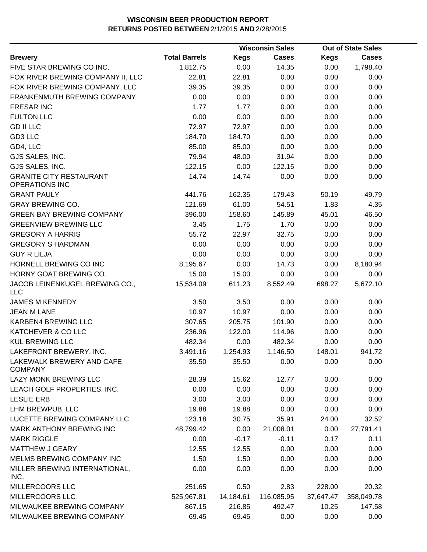|                                                         |                      |             | <b>Wisconsin Sales</b> |             | <b>Out of State Sales</b> |  |
|---------------------------------------------------------|----------------------|-------------|------------------------|-------------|---------------------------|--|
| <b>Brewery</b>                                          | <b>Total Barrels</b> | <b>Kegs</b> | <b>Cases</b>           | <b>Kegs</b> | <b>Cases</b>              |  |
| FIVE STAR BREWING CO INC.                               | 1,812.75             | 0.00        | 14.35                  | 0.00        | 1,798.40                  |  |
| FOX RIVER BREWING COMPANY II, LLC                       | 22.81                | 22.81       | 0.00                   | 0.00        | 0.00                      |  |
| FOX RIVER BREWING COMPANY, LLC                          | 39.35                | 39.35       | 0.00                   | 0.00        | 0.00                      |  |
| FRANKENMUTH BREWING COMPANY                             | 0.00                 | 0.00        | 0.00                   | 0.00        | 0.00                      |  |
| <b>FRESAR INC</b>                                       | 1.77                 | 1.77        | 0.00                   | 0.00        | 0.00                      |  |
| <b>FULTON LLC</b>                                       | 0.00                 | 0.00        | 0.00                   | 0.00        | 0.00                      |  |
| <b>GD II LLC</b>                                        | 72.97                | 72.97       | 0.00                   | 0.00        | 0.00                      |  |
| GD3 LLC                                                 | 184.70               | 184.70      | 0.00                   | 0.00        | 0.00                      |  |
| GD4, LLC                                                | 85.00                | 85.00       | 0.00                   | 0.00        | 0.00                      |  |
| GJS SALES, INC.                                         | 79.94                | 48.00       | 31.94                  | 0.00        | 0.00                      |  |
| GJS SALES, INC.                                         | 122.15               | 0.00        | 122.15                 | 0.00        | 0.00                      |  |
| <b>GRANITE CITY RESTAURANT</b><br><b>OPERATIONS INC</b> | 14.74                | 14.74       | 0.00                   | 0.00        | 0.00                      |  |
| <b>GRANT PAULY</b>                                      | 441.76               | 162.35      | 179.43                 | 50.19       | 49.79                     |  |
| <b>GRAY BREWING CO.</b>                                 | 121.69               | 61.00       | 54.51                  | 1.83        | 4.35                      |  |
| <b>GREEN BAY BREWING COMPANY</b>                        | 396.00               | 158.60      | 145.89                 | 45.01       | 46.50                     |  |
| <b>GREENVIEW BREWING LLC</b>                            | 3.45                 | 1.75        | 1.70                   | 0.00        | 0.00                      |  |
| <b>GREGORY A HARRIS</b>                                 | 55.72                | 22.97       | 32.75                  | 0.00        | 0.00                      |  |
| <b>GREGORY S HARDMAN</b>                                | 0.00                 | 0.00        | 0.00                   | 0.00        | 0.00                      |  |
| <b>GUY R LILJA</b>                                      | 0.00                 | 0.00        | 0.00                   | 0.00        | 0.00                      |  |
| HORNELL BREWING CO INC                                  | 8,195.67             | 0.00        | 14.73                  | 0.00        | 8,180.94                  |  |
| HORNY GOAT BREWING CO.                                  | 15.00                | 15.00       | 0.00                   | 0.00        | 0.00                      |  |
| JACOB LEINENKUGEL BREWING CO.,<br><b>LLC</b>            | 15,534.09            | 611.23      | 8,552.49               | 698.27      | 5,672.10                  |  |
| <b>JAMES M KENNEDY</b>                                  | 3.50                 | 3.50        | 0.00                   | 0.00        | 0.00                      |  |
| <b>JEAN M LANE</b>                                      | 10.97                | 10.97       | 0.00                   | 0.00        | 0.00                      |  |
| KARBEN4 BREWING LLC                                     | 307.65               | 205.75      | 101.90                 | 0.00        | 0.00                      |  |
| KATCHEVER & CO LLC                                      | 236.96               | 122.00      | 114.96                 | 0.00        | 0.00                      |  |
| <b>KUL BREWING LLC</b>                                  | 482.34               | 0.00        | 482.34                 | 0.00        | 0.00                      |  |
| LAKEFRONT BREWERY, INC.                                 | 3,491.16             | 1,254.93    | 1,146.50               | 148.01      | 941.72                    |  |
| LAKEWALK BREWERY AND CAFE<br><b>COMPANY</b>             | 35.50                | 35.50       | 0.00                   | 0.00        | 0.00                      |  |
| LAZY MONK BREWING LLC                                   | 28.39                | 15.62       | 12.77                  | 0.00        | 0.00                      |  |
| LEACH GOLF PROPERTIES, INC.                             | 0.00                 | 0.00        | 0.00                   | 0.00        | 0.00                      |  |
| <b>LESLIE ERB</b>                                       | 3.00                 | 3.00        | 0.00                   | 0.00        | 0.00                      |  |
| LHM BREWPUB, LLC                                        | 19.88                | 19.88       | 0.00                   | 0.00        | 0.00                      |  |
| LUCETTE BREWING COMPANY LLC                             | 123.18               | 30.75       | 35.91                  | 24.00       | 32.52                     |  |
| <b>MARK ANTHONY BREWING INC</b>                         | 48,799.42            | 0.00        | 21,008.01              | 0.00        | 27,791.41                 |  |
| <b>MARK RIGGLE</b>                                      | 0.00                 | $-0.17$     | $-0.11$                | 0.17        | 0.11                      |  |
| <b>MATTHEW J GEARY</b>                                  | 12.55                | 12.55       | 0.00                   | 0.00        | 0.00                      |  |
| MELMS BREWING COMPANY INC                               | 1.50                 | 1.50        | 0.00                   | 0.00        | 0.00                      |  |
| MILLER BREWING INTERNATIONAL,<br>INC.                   | 0.00                 | 0.00        | 0.00                   | 0.00        | 0.00                      |  |
| MILLERCOORS LLC                                         | 251.65               | 0.50        | 2.83                   | 228.00      | 20.32                     |  |
| MILLERCOORS LLC                                         | 525,967.81           | 14,184.61   | 116,085.95             | 37,647.47   | 358,049.78                |  |
| MILWAUKEE BREWING COMPANY                               | 867.15               | 216.85      | 492.47                 | 10.25       | 147.58                    |  |
| MILWAUKEE BREWING COMPANY                               | 69.45                | 69.45       | 0.00                   | 0.00        | 0.00                      |  |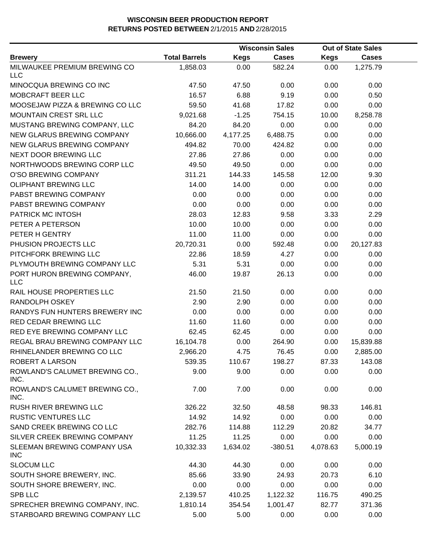|                                            |                      |             | <b>Wisconsin Sales</b> |             | <b>Out of State Sales</b> |  |
|--------------------------------------------|----------------------|-------------|------------------------|-------------|---------------------------|--|
| <b>Brewery</b>                             | <b>Total Barrels</b> | <b>Kegs</b> | <b>Cases</b>           | <b>Kegs</b> | <b>Cases</b>              |  |
| MILWAUKEE PREMIUM BREWING CO<br><b>LLC</b> | 1,858.03             | 0.00        | 582.24                 | 0.00        | 1,275.79                  |  |
| MINOCQUA BREWING CO INC                    | 47.50                | 47.50       | 0.00                   | 0.00        | 0.00                      |  |
| MOBCRAFT BEER LLC                          | 16.57                | 6.88        | 9.19                   | 0.00        | 0.50                      |  |
| MOOSEJAW PIZZA & BREWING CO LLC            | 59.50                | 41.68       | 17.82                  | 0.00        | 0.00                      |  |
| MOUNTAIN CREST SRL LLC                     | 9,021.68             | $-1.25$     | 754.15                 | 10.00       | 8,258.78                  |  |
| MUSTANG BREWING COMPANY, LLC               | 84.20                | 84.20       | 0.00                   | 0.00        | 0.00                      |  |
| NEW GLARUS BREWING COMPANY                 | 10,666.00            | 4,177.25    | 6,488.75               | 0.00        | 0.00                      |  |
| NEW GLARUS BREWING COMPANY                 | 494.82               | 70.00       | 424.82                 | 0.00        | 0.00                      |  |
| NEXT DOOR BREWING LLC                      | 27.86                | 27.86       | 0.00                   | 0.00        | 0.00                      |  |
| NORTHWOODS BREWING CORP LLC                | 49.50                | 49.50       | 0.00                   | 0.00        | 0.00                      |  |
| O'SO BREWING COMPANY                       | 311.21               | 144.33      | 145.58                 | 12.00       | 9.30                      |  |
| <b>OLIPHANT BREWING LLC</b>                | 14.00                | 14.00       | 0.00                   | 0.00        | 0.00                      |  |
| PABST BREWING COMPANY                      | 0.00                 | 0.00        | 0.00                   | 0.00        | 0.00                      |  |
| PABST BREWING COMPANY                      | 0.00                 | 0.00        | 0.00                   | 0.00        | 0.00                      |  |
| PATRICK MC INTOSH                          | 28.03                | 12.83       | 9.58                   | 3.33        | 2.29                      |  |
| PETER A PETERSON                           | 10.00                | 10.00       | 0.00                   | 0.00        | 0.00                      |  |
| PETER H GENTRY                             | 11.00                | 11.00       | 0.00                   | 0.00        | 0.00                      |  |
| PHUSION PROJECTS LLC                       | 20,720.31            | 0.00        | 592.48                 | 0.00        | 20,127.83                 |  |
| PITCHFORK BREWING LLC                      | 22.86                | 18.59       | 4.27                   | 0.00        | 0.00                      |  |
| PLYMOUTH BREWING COMPANY LLC               | 5.31                 | 5.31        | 0.00                   | 0.00        | 0.00                      |  |
| PORT HURON BREWING COMPANY,<br><b>LLC</b>  | 46.00                | 19.87       | 26.13                  | 0.00        | 0.00                      |  |
| RAIL HOUSE PROPERTIES LLC                  | 21.50                | 21.50       | 0.00                   | 0.00        | 0.00                      |  |
| RANDOLPH OSKEY                             | 2.90                 | 2.90        | 0.00                   | 0.00        | 0.00                      |  |
| RANDYS FUN HUNTERS BREWERY INC             | 0.00                 | 0.00        | 0.00                   | 0.00        | 0.00                      |  |
| RED CEDAR BREWING LLC                      | 11.60                | 11.60       | 0.00                   | 0.00        | 0.00                      |  |
| RED EYE BREWING COMPANY LLC                | 62.45                | 62.45       | 0.00                   | 0.00        | 0.00                      |  |
| REGAL BRAU BREWING COMPANY LLC             | 16,104.78            | 0.00        | 264.90                 | 0.00        | 15,839.88                 |  |
| RHINELANDER BREWING CO LLC                 | 2,966.20             | 4.75        | 76.45                  | 0.00        | 2,885.00                  |  |
| ROBERT A LARSON                            | 539.35               | 110.67      | 198.27                 | 87.33       | 143.08                    |  |
| ROWLAND'S CALUMET BREWING CO.,<br>INC.     | 9.00                 | 9.00        | 0.00                   | 0.00        | 0.00                      |  |
| ROWLAND'S CALUMET BREWING CO.,<br>INC.     | 7.00                 | 7.00        | 0.00                   | 0.00        | 0.00                      |  |
| RUSH RIVER BREWING LLC                     | 326.22               | 32.50       | 48.58                  | 98.33       | 146.81                    |  |
| <b>RUSTIC VENTURES LLC</b>                 | 14.92                | 14.92       | 0.00                   | 0.00        | 0.00                      |  |
| SAND CREEK BREWING CO LLC                  | 282.76               | 114.88      | 112.29                 | 20.82       | 34.77                     |  |
| SILVER CREEK BREWING COMPANY               | 11.25                | 11.25       | 0.00                   | 0.00        | 0.00                      |  |
| SLEEMAN BREWING COMPANY USA<br><b>INC</b>  | 10,332.33            | 1,634.02    | $-380.51$              | 4,078.63    | 5,000.19                  |  |
| <b>SLOCUM LLC</b>                          | 44.30                | 44.30       | 0.00                   | 0.00        | 0.00                      |  |
| SOUTH SHORE BREWERY, INC.                  | 85.66                | 33.90       | 24.93                  | 20.73       | 6.10                      |  |
| SOUTH SHORE BREWERY, INC.                  | 0.00                 | 0.00        | 0.00                   | 0.00        | 0.00                      |  |
| <b>SPB LLC</b>                             | 2,139.57             | 410.25      | 1,122.32               | 116.75      | 490.25                    |  |
| SPRECHER BREWING COMPANY, INC.             | 1,810.14             | 354.54      | 1,001.47               | 82.77       | 371.36                    |  |
| STARBOARD BREWING COMPANY LLC              | 5.00                 | 5.00        | 0.00                   | 0.00        | 0.00                      |  |